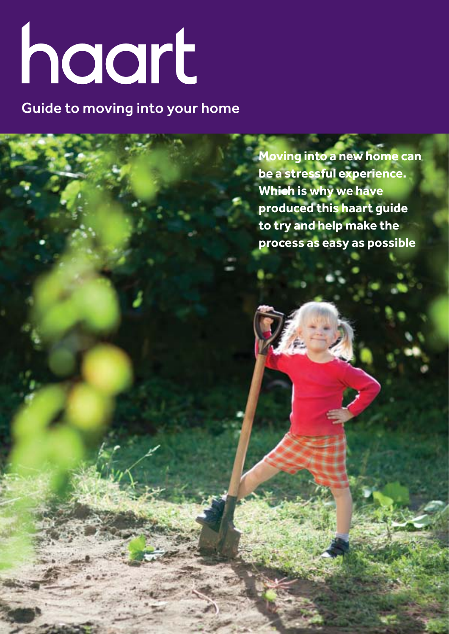# haart

Guide to moving into your home

**Moving into a new home can be a stressful experience. Which is why we have produced this haart guide to try and help make the process as easy as possible**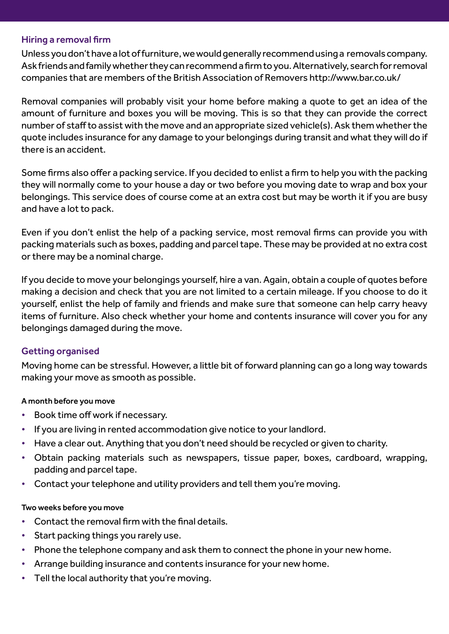## Hiring a removal firm

Unless you don't have a lot of furniture, we would generally recommend using a removals company. Ask friends and family whether they can recommend a firm to you. Alternatively, search for removal companies that are members of the British Association of Removers http://www.bar.co.uk/

Removal companies will probably visit your home before making a quote to get an idea of the amount of furniture and boxes you will be moving. This is so that they can provide the correct number of staff to assist with the move and an appropriate sized vehicle(s). Ask them whether the quote includes insurance for any damage to your belongings during transit and what they will do if there is an accident.

Some firms also offer a packing service. If you decided to enlist a firm to help you with the packing they will normally come to your house a day or two before you moving date to wrap and box your belongings. This service does of course come at an extra cost but may be worth it if you are busy and have a lot to pack.

Even if you don't enlist the help of a packing service, most removal firms can provide you with packing materials such as boxes, padding and parcel tape. These may be provided at no extra cost or there may be a nominal charge.

If you decide to move your belongings yourself, hire a van. Again, obtain a couple of quotes before making a decision and check that you are not limited to a certain mileage. If you choose to do it yourself, enlist the help of family and friends and make sure that someone can help carry heavy items of furniture. Also check whether your home and contents insurance will cover you for any belongings damaged during the move.

# Getting organised

Moving home can be stressful. However, a little bit of forward planning can go a long way towards making your move as smooth as possible.

# A month before you move

- Book time off work if necessary.
- If you are living in rented accommodation give notice to your landlord.
- Have a clear out. Anything that you don't need should be recycled or given to charity.
- Obtain packing materials such as newspapers, tissue paper, boxes, cardboard, wrapping, padding and parcel tape.
- Contact your telephone and utility providers and tell them you're moving.

## Two weeks before you move

- Contact the removal firm with the final details.
- Start packing things you rarely use.
- Phone the telephone company and ask them to connect the phone in your new home.
- Arrange building insurance and contents insurance for your new home.
- Tell the local authority that you're moving.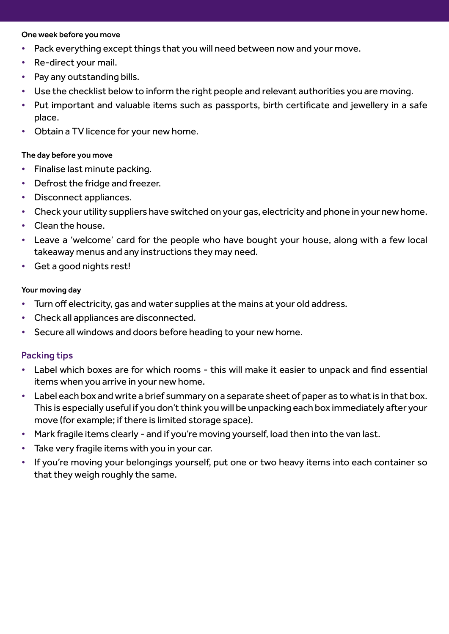#### One week before you move

- Pack everything except things that you will need between now and your move.
- Re-direct your mail.
- Pay any outstanding bills.
- Use the checklist below to inform the right people and relevant authorities you are moving.
- Put important and valuable items such as passports, birth certificate and jewellery in a safe place.
- Obtain a TV licence for your new home.

### The day before you move

- Finalise last minute packing.
- Defrost the fridge and freezer.
- Disconnect appliances.
- Check your utility suppliers have switched on your gas, electricity and phone in your new home.
- Clean the house.
- Leave a 'welcome' card for the people who have bought your house, along with a few local takeaway menus and any instructions they may need.
- Get a good nights rest!

### Your moving day

- Turn off electricity, gas and water supplies at the mains at your old address.
- Check all appliances are disconnected.
- Secure all windows and doors before heading to your new home.

## Packing tips

- Label which boxes are for which rooms this will make it easier to unpack and find essential items when you arrive in your new home.
- Label each box and write a brief summary on a separate sheet of paper as to what is in that box. This is especially useful if you don't think you will be unpacking each box immediately after your move (for example; if there is limited storage space).
- Mark fragile items clearly and if you're moving yourself, load then into the van last.
- Take very fragile items with you in your car.
- If you're moving your belongings yourself, put one or two heavy items into each container so that they weigh roughly the same.